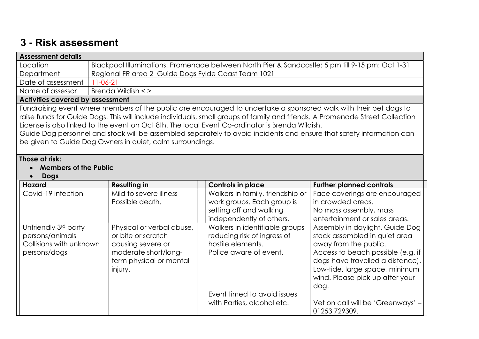## 3 - Risk assessment

| <b>Assessment details</b>                                                                                                    |                                                                                                                      |  |  |  |
|------------------------------------------------------------------------------------------------------------------------------|----------------------------------------------------------------------------------------------------------------------|--|--|--|
| Location                                                                                                                     | Blackpool Illuminations: Promenade between North Pier & Sandcastle: 5 pm till 9-15 pm: Oct 1-31                      |  |  |  |
| Department                                                                                                                   | Regional FR area 2 Guide Dogs Fylde Coast Team 1021                                                                  |  |  |  |
| Date of assessment                                                                                                           | $11-06-21$                                                                                                           |  |  |  |
| Name of assessor                                                                                                             | Brenda Wildish $\lt$ >                                                                                               |  |  |  |
| Activities covered by assessment                                                                                             |                                                                                                                      |  |  |  |
|                                                                                                                              | Fundraising event where members of the public are encouraged to undertake a sponsored walk with their pet dogs to    |  |  |  |
| raise funds for Guide Dogs. This will include individuals, small groups of family and friends. A Promenade Street Collection |                                                                                                                      |  |  |  |
|                                                                                                                              | License is also linked to the event on Oct 8th. The local Event Co-ordinator is Brenda Wildish.                      |  |  |  |
|                                                                                                                              | Guide Dog personnel and stock will be assembled separately to avoid incidents and ensure that safety information can |  |  |  |
|                                                                                                                              | be given to Guide Dog Owners in quiet, calm surroundings.                                                            |  |  |  |

## Those at risk:

- Members of the Public
- Dogs

| <b>Hazard</b>           | <b>Resulting in</b>       | <b>Controls in place</b>         | <b>Further planned controls</b>   |
|-------------------------|---------------------------|----------------------------------|-----------------------------------|
| Covid-19 infection      | Mild to severe illness    | Walkers in family, friendship or | Face coverings are encouraged     |
|                         | Possible death.           | work groups. Each group is       | in crowded areas.                 |
|                         |                           | setting off and walking          | No mass assembly, mass            |
|                         |                           | independently of others,         | entertainment or sales areas.     |
| Unfriendly 3rd party    | Physical or verbal abuse, | Walkers in identifiable groups   | Assembly in daylight. Guide Dog   |
| persons/animals         | or bite or scratch        | reducing risk of ingress of      | stock assembled in quiet area     |
| Collisions with unknown | causing severe or         | hostile elements.                | away from the public.             |
| persons/dogs            | moderate short/long-      | Police aware of event.           | Access to beach possible (e.g. if |
|                         | term physical or mental   |                                  | dogs have travelled a distance).  |
|                         | injury.                   |                                  | Low-tide, large space, minimum    |
|                         |                           |                                  | wind. Please pick up after your   |
|                         |                           |                                  | dog.                              |
|                         |                           | Event timed to avoid issues      |                                   |
|                         |                           | with Parties, alcohol etc.       | Vet on call will be 'Greenways' - |
|                         |                           |                                  | 01253729309.                      |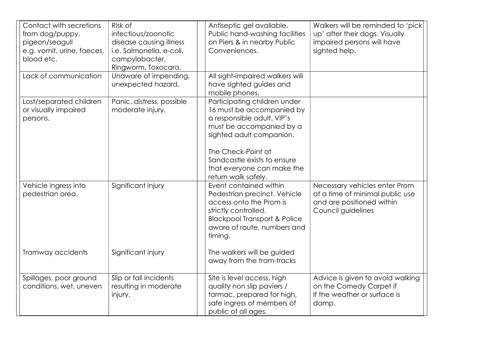| Contact with secretions<br>from dog/puppy,<br>pigeon/seagull<br>e.g. vomit, urine, faeces,<br>blood etc. | Risk of<br>infectious/zoonotic<br>disease causing illness<br>i.e. Salmonella, e-coli,<br>campylobacter,<br>Ringworm, Toxocara. | Antiseptic gel available.<br>Public hand-washing facilities<br>on Piers & in nearby Public<br>Conveniences.                                                                                                                                               | Walkers will be reminded to 'pick<br>up' after their dogs. Visually<br>impaired persons will have<br>sighted help.  |  |
|----------------------------------------------------------------------------------------------------------|--------------------------------------------------------------------------------------------------------------------------------|-----------------------------------------------------------------------------------------------------------------------------------------------------------------------------------------------------------------------------------------------------------|---------------------------------------------------------------------------------------------------------------------|--|
| Lack of communication                                                                                    | Unaware of impending,<br>unexpected hazard.                                                                                    | All sight-impaired walkers will<br>have sighted guides and<br>mobile phones.                                                                                                                                                                              |                                                                                                                     |  |
| Lost/separated children<br>or visually impaired<br>persons.                                              | Panic, distress, possible<br>moderate injury.                                                                                  | Participating children under<br>16 must be accompanied by<br>a responsible adult. VIP's<br>must be accompanied by a<br>sighted adult companion.<br>The Check-Point at<br>Sandcastle exists to ensure<br>that everyone can make the<br>return walk safely. |                                                                                                                     |  |
| Vehicle ingress into<br>pedestrian area.<br>Tramway accidents                                            | Significant injury<br>Significant injury                                                                                       | Event contained within<br>Pedestrian precinct. Vehicle<br>access onto the Prom is<br>strictly controlled.<br><b>Blackpool Transport &amp; Police</b><br>aware of route, numbers and<br>timing.<br>The walkers will be guided                              | Necessary vehicles enter Prom<br>at a time of minimal public use<br>and are positioned within<br>Council guidelines |  |
|                                                                                                          |                                                                                                                                | away from the tram-tracks                                                                                                                                                                                                                                 |                                                                                                                     |  |
| Spillages, poor ground<br>conditions, wet, uneven                                                        | Slip or fall incidents<br>resulting in moderate<br>injury.                                                                     | Site is level access, high<br>quality non slip paviers /<br>tarmac, prepared for high,<br>safe ingress of members of<br>public of all ages.                                                                                                               | Advice is given to avoid walking<br>on the Comedy Carpet if<br>If the weather or surface is<br>damp.                |  |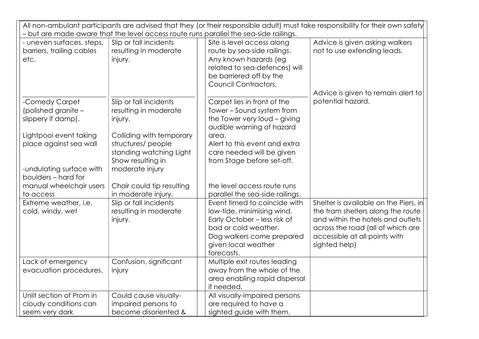| All non-ambulant participants are advised that they (or their responsible adult) must take responsibility for their own safety |                           |                                 |                                       |  |  |
|--------------------------------------------------------------------------------------------------------------------------------|---------------------------|---------------------------------|---------------------------------------|--|--|
| - but are made aware that the level access route runs parallel the sea-side railings.                                          |                           |                                 |                                       |  |  |
| - uneven surfaces, steps,                                                                                                      | Slip or fall incidents    | Site is level access along      | Advice is given asking walkers        |  |  |
| barriers, trailing cables                                                                                                      | resulting in moderate     | route by sea-side railings.     | not to use extending leads.           |  |  |
| etc.                                                                                                                           | injury.                   | Any known hazards (eg           |                                       |  |  |
|                                                                                                                                |                           | related to sea-defences) will   |                                       |  |  |
|                                                                                                                                |                           | be barriered off by the         |                                       |  |  |
|                                                                                                                                |                           | Council Contractors.            |                                       |  |  |
|                                                                                                                                |                           |                                 | Advice is given to remain alert to    |  |  |
| -Comedy Carpet                                                                                                                 | Slip or fall incidents    | Carpet lies in front of the     | potential hazard.                     |  |  |
| (polished granite -                                                                                                            | resulting in moderate     | Tower - Sound system from       |                                       |  |  |
| slippery if damp).                                                                                                             | injury.                   | the Tower very loud - giving    |                                       |  |  |
|                                                                                                                                |                           | audible warning of hazard       |                                       |  |  |
| Lightpool event taking                                                                                                         | Colliding with temporary  | area.                           |                                       |  |  |
| place against sea wall                                                                                                         | structures/people         | Alert to this event and extra   |                                       |  |  |
|                                                                                                                                | standing watching Light   | care needed will be given       |                                       |  |  |
|                                                                                                                                | Show resulting in         | from Stage before set-off.      |                                       |  |  |
| -undulating surface with                                                                                                       | moderate injury           |                                 |                                       |  |  |
| boulders - hard for                                                                                                            |                           |                                 |                                       |  |  |
| manual wheelchair users                                                                                                        | Chair could tip resulting | the level access route runs     |                                       |  |  |
| to access                                                                                                                      | in moderate injury.       | parallel the sea-side railings. |                                       |  |  |
| Extreme weather, i.e.                                                                                                          | Slip or fall incidents    | Event timed to coincide with    | Shelter is available on the Piers, in |  |  |
| cold, windy, wet                                                                                                               | resulting in moderate     | low-tide, minimising wind.      | the tram shelters along the route     |  |  |
|                                                                                                                                | injury.                   | Early October – less risk of    | and within the hotels and outlets     |  |  |
|                                                                                                                                |                           | bad or cold weather.            | across the road (all of which are     |  |  |
|                                                                                                                                |                           | Dog walkers come prepared       | accessible at all points with         |  |  |
|                                                                                                                                |                           | given local weather             | sighted help)                         |  |  |
|                                                                                                                                |                           | forecasts.                      |                                       |  |  |
| Lack of emergency                                                                                                              | Confusion, significant    | Multiple exit routes leading    |                                       |  |  |
| evacuation procedures.                                                                                                         | injury                    | away from the whole of the      |                                       |  |  |
|                                                                                                                                |                           | area enabling rapid dispersal   |                                       |  |  |
|                                                                                                                                |                           | if needed.                      |                                       |  |  |
| Unlit section of Prom in                                                                                                       | Could cause visually-     | All visually-impaired persons   |                                       |  |  |
| cloudy conditions can                                                                                                          | impaired persons to       | are required to have a          |                                       |  |  |
| seem very dark                                                                                                                 | become disoriented &      | sighted guide with them.        |                                       |  |  |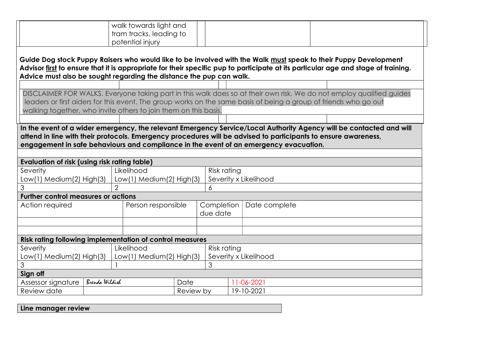|                                                                                                                  | walk towards light and                                                                                                            |           |                                      |  |                       |                                                                                                                      |  |
|------------------------------------------------------------------------------------------------------------------|-----------------------------------------------------------------------------------------------------------------------------------|-----------|--------------------------------------|--|-----------------------|----------------------------------------------------------------------------------------------------------------------|--|
|                                                                                                                  | tram tracks, leading to<br>potential injury                                                                                       |           |                                      |  |                       |                                                                                                                      |  |
|                                                                                                                  |                                                                                                                                   |           |                                      |  |                       |                                                                                                                      |  |
| Guide Dog stock Puppy Raisers who would like to be involved with the Walk must speak to their Puppy Development  |                                                                                                                                   |           |                                      |  |                       |                                                                                                                      |  |
|                                                                                                                  | Advisor first to ensure that it is appropriate for their specific pup to participate at its particular age and stage of training. |           |                                      |  |                       |                                                                                                                      |  |
| Advice must also be sought regarding the distance the pup can walk.                                              |                                                                                                                                   |           |                                      |  |                       |                                                                                                                      |  |
|                                                                                                                  |                                                                                                                                   |           |                                      |  |                       |                                                                                                                      |  |
| leaders or first aiders for this event. The group works on the same basis of being a group of friends who go out |                                                                                                                                   |           |                                      |  |                       | DISCLAIMER FOR WALKS. Everyone taking part in this walk does so at their own risk. We do not employ qualified guides |  |
| walking together, who invite others to join them on this basis.                                                  |                                                                                                                                   |           |                                      |  |                       |                                                                                                                      |  |
|                                                                                                                  |                                                                                                                                   |           |                                      |  |                       |                                                                                                                      |  |
|                                                                                                                  |                                                                                                                                   |           |                                      |  |                       | In the event of a wider emergency, the relevant Emergency Service/Local Authority Agency will be contacted and will  |  |
| attend in line with their protocols. Emergency procedures will be advised to participants to ensure awareness,   |                                                                                                                                   |           |                                      |  |                       |                                                                                                                      |  |
| engagement in safe behaviours and compliance in the event of an emergency evacuation.                            |                                                                                                                                   |           |                                      |  |                       |                                                                                                                      |  |
|                                                                                                                  |                                                                                                                                   |           |                                      |  |                       |                                                                                                                      |  |
| Evaluation of risk (using risk rating table)                                                                     |                                                                                                                                   |           |                                      |  |                       |                                                                                                                      |  |
| Severity                                                                                                         | Likelihood                                                                                                                        |           | Risk rating                          |  |                       |                                                                                                                      |  |
| Low(1) Medium(2) High(3)                                                                                         | Low(1) Medium(2) High(3)                                                                                                          |           |                                      |  | Severity x Likelihood |                                                                                                                      |  |
| 3                                                                                                                | $\mathcal{P}$                                                                                                                     |           | 6                                    |  |                       |                                                                                                                      |  |
| <b>Further control measures or actions</b>                                                                       |                                                                                                                                   |           |                                      |  |                       |                                                                                                                      |  |
| Action required                                                                                                  | Person responsible                                                                                                                |           | Completion                           |  | Date complete         |                                                                                                                      |  |
|                                                                                                                  |                                                                                                                                   |           | due date                             |  |                       |                                                                                                                      |  |
|                                                                                                                  |                                                                                                                                   |           |                                      |  |                       |                                                                                                                      |  |
| Risk rating following implementation of control measures                                                         |                                                                                                                                   |           |                                      |  |                       |                                                                                                                      |  |
| Severity                                                                                                         | Likelihood                                                                                                                        |           |                                      |  |                       |                                                                                                                      |  |
| Low(1) Medium(2) High(3)<br>Low(1) Medium(2) High(3)                                                             |                                                                                                                                   |           | Risk rating<br>Severity x Likelihood |  |                       |                                                                                                                      |  |
| 3                                                                                                                |                                                                                                                                   |           | 3                                    |  |                       |                                                                                                                      |  |
| Sign off                                                                                                         |                                                                                                                                   |           |                                      |  |                       |                                                                                                                      |  |
| Brenda Wildish<br>Assessor signature                                                                             |                                                                                                                                   | Date      |                                      |  | 11-06-2021            |                                                                                                                      |  |
| Review date                                                                                                      |                                                                                                                                   | Review by |                                      |  | 19-10-2021            |                                                                                                                      |  |

Line manager review